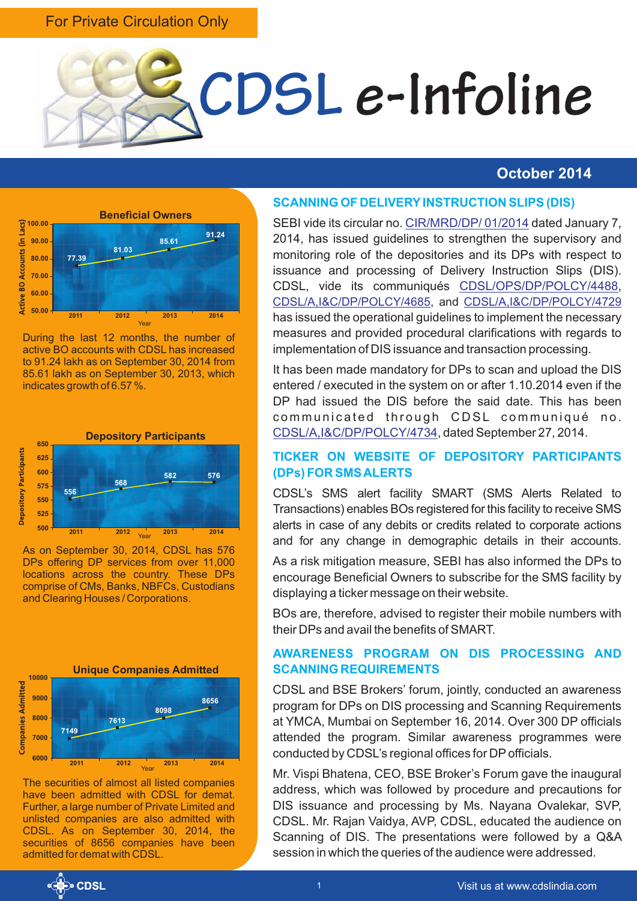#### For Private Circulation Only



#### **October 2014**



During the last 12 months, the number of active BO accounts with CDSL has increased to 91.24 lakh as on September 30, 2014 from 85.61 lakh as on September 30, 2013, which indicates growth of 6.57 %.



As on September 30, 2014, CDSL has 576 DPs offering DP services from over 11,000 locations across the country. These DPs comprise of CMs, Banks, NBFCs, Custodians and Clearing Houses / Corporations.



The securities of almost all listed companies have been admitted with CDSL for demat. Further, a large number of Private Limited and unlisted companies are also admitted with CDSL. As on September 30, 2014, the securities of 8656 companies have been admitted for demat with CDSL.

#### **SCANNING OF DELIVERYINSTRUCTION SLIPS (DIS)**

SEBI vide its circular no. [CIR/MRD/DP/ 01/2014](https://www.cdslindia.com/publications/commprocedure.aspx?eventid=DP4166) dated January 7, 2014, has issued guidelines to strengthen the supervisory and monitoring role of the depositories and its DPs with respect to issuance and processing of Delivery Instruction Slips (DIS). CDSL, vide its communiqués CDSL/OPS/DP/POLCY/4488, [CDSL/A,I&C/DP/POLCY/4685](https://www.cdslindia.com/publications/commprocedure.aspx?eventid=DP4685), and [CDSL/A,I&C/DP/POLCY/4729](http://www.cdslindia.com/publications/commprocedure.aspx?eventid=DP4729) has issued the operational guidelines to implement the necessary measures and provided procedural clarifications with regards to implementation of DIS issuance and transaction processing.

It has been made mandatory for DPs to scan and upload the DIS entered / executed in the system on or after 1.10.2014 even if the DP had issued the DIS before the said date. This has been communicated through CDSL communiqué no. [CDSL/A,I&C/DP/POLCY/4734](https://www.cdslindia.com/publications/commprocedure.aspx?eventid=DP4734), dated September 27, 2014.

#### **TICKER ON WEBSITE OF DEPOSITORY PARTICIPANTS (DPs) FOR SMS ALERTS**

CDSL's SMS alert facility SMART (SMS Alerts Related to Transactions) enables BOs registered for this facility to receive SMS alerts in case of any debits or credits related to corporate actions and for any change in demographic details in their accounts.

As a risk mitigation measure, SEBI has also informed the DPs to encourage Beneficial Owners to subscribe for the SMS facility by displaying a ticker message on their website.

BOs are, therefore, advised to register their mobile numbers with their DPs and avail the benefits of SMART.

#### **AWARENESS PROGRAM ON DIS PROCESSING AND SCANNING REQUIREMENTS**

CDSL and BSE Brokers' forum, jointly, conducted an awareness program for DPs on DIS processing and Scanning Requirements at YMCA, Mumbai on September 16, 2014. Over 300 DP officials attended the program. Similar awareness programmes were conducted by CDSL's regional offices for DPofficials.

Mr. Vispi Bhatena, CEO, BSE Broker's Forum gave the inaugural address, which was followed by procedure and precautions for DIS issuance and processing by Ms. Nayana Ovalekar, SVP, CDSL. Mr. Rajan Vaidya, AVP, CDSL, educated the audience on Scanning of DIS. The presentations were followed by a Q&A session in which the queries of the audience were addressed.

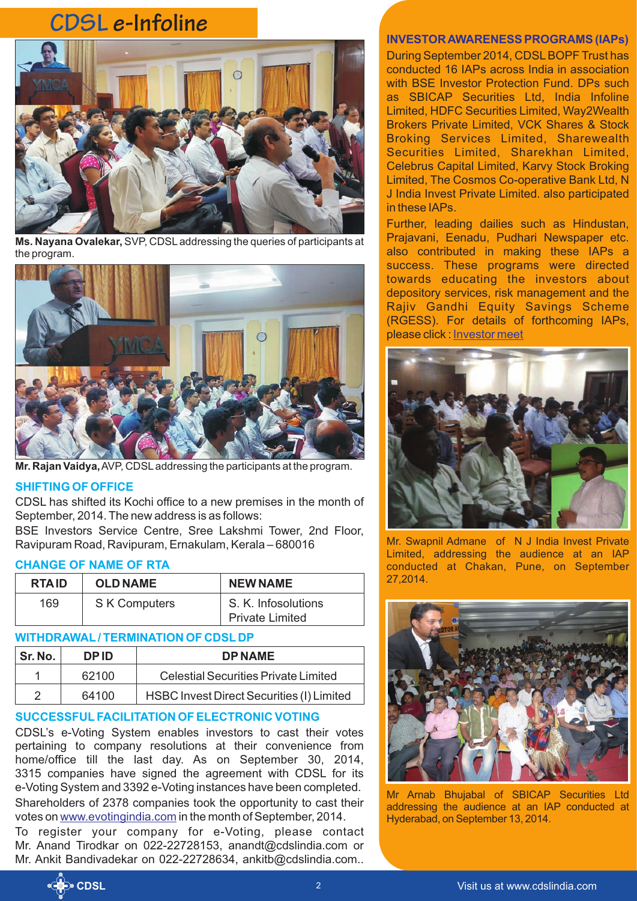## **CDSL e-Infoline**



**Ms. Nayana Ovalekar,** SVP, CDSLaddressing the queries of participants at the program.



**Mr. Rajan Vaidya,**AVP, CDSLaddressing the participants at the program.

#### **SHIFTING OF OFFICE**

CDSL has shifted its Kochi office to a new premises in the month of September, 2014. The new address is as follows:

BSE Investors Service Centre, Sree Lakshmi Tower, 2nd Floor, Ravipuram Road, Ravipuram, Ernakulam, Kerala – 680016

#### **CHANGE OF NAME OF RTA**

| <b>RTAID</b> | <b>OLD NAME</b>     | <b>NEW NAME</b>                               |
|--------------|---------------------|-----------------------------------------------|
| 169          | <b>SK Computers</b> | S. K. Infosolutions<br><b>Private Limited</b> |

#### **WITHDRAWAL/ TERMINATION OF CDSL DP**

| Sr. No. | <b>DPID</b> | <b>DPNAME</b>                             |
|---------|-------------|-------------------------------------------|
|         | 62100       | Celestial Securities Private Limited      |
| 2       | 64100       | HSBC Invest Direct Securities (I) Limited |

#### **SUCCESSFULFACILITATION OF ELECTRONIC VOTING**

CDSL's e-Voting System enables investors to cast their votes pertaining to company resolutions at their convenience from home/office till the last day. As on September 30, 2014, 3315 companies have signed the agreement with CDSL for its e-Voting System and 3392 e-Voting instances have been completed. Shareholders of 2378 companies took the opportunity to cast their voteson www.evotingindia.com in the month of September, 2014.

To register your company for e-Voting, please contact Mr. Anand Tirodkar on 022-22728153, anandt@cdslindia.com or Mr. Ankit Bandivadekar on 022-22728634, ankitb@cdslindia.com..

#### **INVESTOR AWARENESS PROGRAMS (IAPs)**

During September 2014, CDSLBOPF Trust has conducted 16 IAPs across India in association with BSE Investor Protection Fund. DPs such as SBICAP Securities Ltd, India Infoline Limited, HDFC Securities Limited, Way2Wealth Brokers Private Limited, VCK Shares & Stock Broking Services Limited, Sharewealth Securities Limited, Sharekhan Limited, Celebrus Capital Limited, Karvy Stock Broking Limited, The Cosmos Co-operative Bank Ltd, N J India Invest Private Limited. also participated in these IAPs.

Further, leading dailies such as Hindustan, Prajavani, Eenadu, Pudhari Newspaper etc. also contributed in making these IAPs a success. These programs were directed towards educating the investors about depository services, risk management and the Rajiv Gandhi Equity Savings Scheme (RGESS). For details of forthcoming IAPs, please click : [Investor meet](https://www.cdslindia.com/investors/investor-meet.aspx)



Mr. Swapnil Admane of N J India Invest Private Limited, addressing the audience at an IAP conducted at Chakan, Pune, on September 27,2014.



Mr Arnab Bhujabal of SBICAP Securities Ltd addressing the audience at an IAP conducted at Hyderabad, on September 13, 2014.